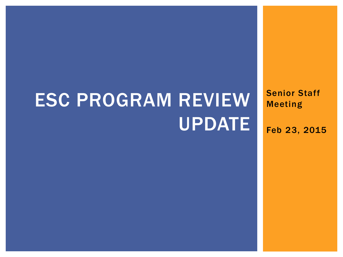# ESC PROGRAM REVIEW UPDATE

Senior Staff Meeting

Feb 23, 2015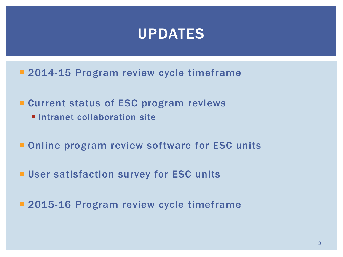#### UPDATES

- **2014-15 Program review cycle timeframe**
- **Current status of ESC program reviews** 
	- **Intranet collaboration site**
- **Online program review software for ESC units**
- **User satisfaction survey for ESC units**
- **2015-16 Program review cycle timeframe**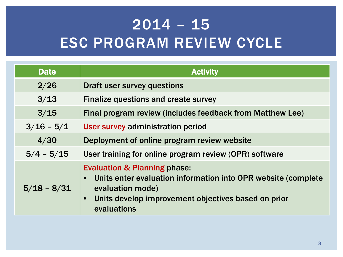## $2014 - 15$ ESC PROGRAM REVIEW CYCLE

| <b>Date</b>   | <b>Activity</b>                                                                                                                                                                                                   |  |  |
|---------------|-------------------------------------------------------------------------------------------------------------------------------------------------------------------------------------------------------------------|--|--|
| 2/26          | <b>Draft user survey questions</b>                                                                                                                                                                                |  |  |
| 3/13          | Finalize questions and create survey                                                                                                                                                                              |  |  |
| 3/15          | Final program review (includes feedback from Matthew Lee)                                                                                                                                                         |  |  |
| $3/16 - 5/1$  | User survey administration period                                                                                                                                                                                 |  |  |
| 4/30          | Deployment of online program review website                                                                                                                                                                       |  |  |
| $5/4 - 5/15$  | User training for online program review (OPR) software                                                                                                                                                            |  |  |
| $5/18 - 8/31$ | <b>Evaluation &amp; Planning phase:</b><br>• Units enter evaluation information into OPR website (complete<br>evaluation mode)<br>Units develop improvement objectives based on prior<br>$\bullet$<br>evaluations |  |  |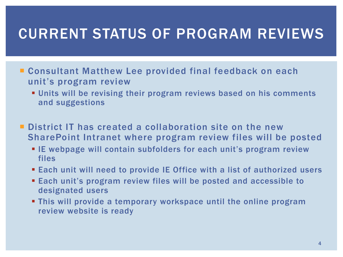#### CURRENT STATUS OF PROGRAM REVIEWS

- Consultant Matthew Lee provided final feedback on each unit's program review
	- Units will be revising their program reviews based on his comments and suggestions
- **District IT has created a collaboration site on the new** SharePoint Intranet where program review files will be posted
	- **E** IE webpage will contain subfolders for each unit's program review files
	- Each unit will need to provide IE Office with a list of authorized users
	- Each unit's program review files will be posted and accessible to designated users
	- This will provide a temporary workspace until the online program review website is ready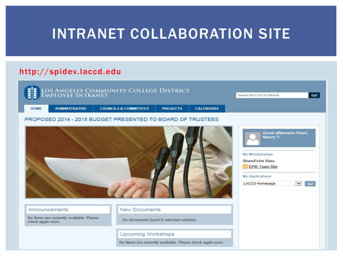#### INTRANET COLLABORATION SITE

#### http://spidev.laccd.edu

|                   |                                          | LOS ANGELES COMMUNITY COLLEGE DISTRICT                     |                                                            |                  | Search the LACCD Intranet                                                                                                                                         | Go!                |
|-------------------|------------------------------------------|------------------------------------------------------------|------------------------------------------------------------|------------------|-------------------------------------------------------------------------------------------------------------------------------------------------------------------|--------------------|
| <b>HOME</b>       | <b>ADMINISTRATIVE</b>                    | <b>COUNCILS &amp; COMMITTEES</b>                           | <b>PROJECTS</b>                                            | <b>CALENDARS</b> |                                                                                                                                                                   |                    |
|                   |                                          | PROPOSED 2014 - 2015 BUDGET PRESENTED TO BOARD OF TRUSTEES |                                                            |                  |                                                                                                                                                                   |                    |
|                   |                                          |                                                            |                                                            |                  | Good afternoon Pearl,<br>Maury Y.<br><b>My Memberships</b><br><b>SharePoint Sites</b><br><b>EPIE Team Site</b><br><b>My Applications</b><br><b>LACCD Homepage</b> | $\check{ }$<br>Go! |
|                   | Announcements                            | <b>New Documents</b>                                       |                                                            |                  |                                                                                                                                                                   |                    |
| check again soon. | No Items are currently available. Please |                                                            | No documents found in selected subsites.                   |                  |                                                                                                                                                                   |                    |
|                   |                                          |                                                            | <b>Upcoming Workshops</b>                                  |                  |                                                                                                                                                                   |                    |
|                   |                                          |                                                            | No Items are currently available. Please check again soon. |                  |                                                                                                                                                                   |                    |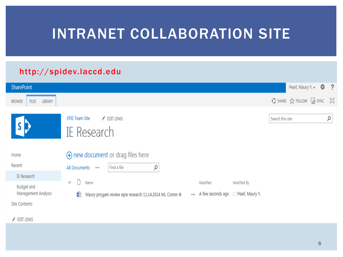### INTRANET COLLABORATION SITE

#### http://spidev.laccd.edu

| <b>SharePoint</b>                               |                                                                          |                                                 |             |                  | Pearl, Maury Y. -                       | $\ddot{\omega}$ ? |
|-------------------------------------------------|--------------------------------------------------------------------------|-------------------------------------------------|-------------|------------------|-----------------------------------------|-------------------|
| <b>FILES</b><br><b>LIBRARY</b><br><b>BROWSE</b> |                                                                          |                                                 |             |                  | $Q$ share $\chi$ follow $Q$ sync $\Box$ |                   |
|                                                 | <b>EPIE Team Site</b><br>$\angle$ EDIT LINKS<br>IE Research              |                                                 |             | Search this site |                                         | α                 |
| Home                                            | $\Theta$ new document or drag files here                                 |                                                 |             |                  |                                         |                   |
| Recent                                          | Find a file<br>ρ<br>All Documents<br>888                                 |                                                 |             |                  |                                         |                   |
| IE Research                                     |                                                                          |                                                 |             |                  |                                         |                   |
| <b>Budget and</b><br>Management Analysis        | ✓<br>Name<br>Maury progam review epie research 11.14.2014 ML Comm *<br>嶒 | Modified<br>A few seconds ago □ Pearl, Maury Y. | Modified By |                  |                                         |                   |
| <b>Site Contents</b>                            |                                                                          |                                                 |             |                  |                                         |                   |

 $\angle$  EDIT LINKS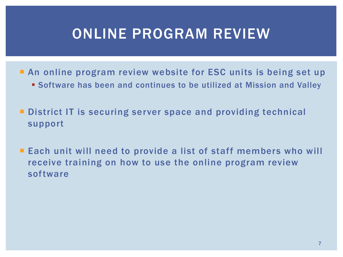### ONLINE PROGRAM REVIEW

- **An online program review website for ESC units is being set up** 
	- Software has been and continues to be utilized at Mission and Valley
- **District IT is securing server space and providing technical** support
- **Each unit will need to provide a list of staff members who will** receive training on how to use the online program review software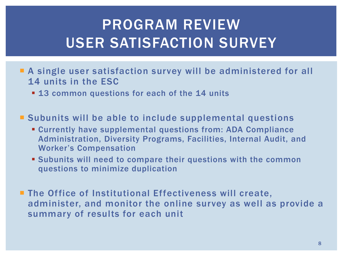## PROGRAM REVIEW USER SATISFACTION SURVEY

- A single user satisfaction survey will be administered for all 14 units in the ESC
	- **13 common questions for each of the 14 units**
- **Subunits will be able to include supplemental questions** 
	- Currently have supplemental questions from: ADA Compliance Administration, Diversity Programs, Facilities, Internal Audit, and Worker's Compensation
	- Subunits will need to compare their questions with the common questions to minimize duplication
- **The Office of Institutional Effectiveness will create,** administer, and monitor the online survey as well as provide a summary of results for each unit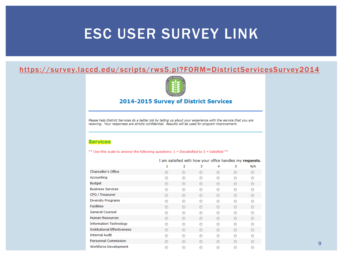#### ESC USER SURVEY LINK

#### <https://survey.laccd.edu/scripts/rws5.pl?FORM=DistrictServicesSurvey2014>



#### 2014-2015 Survey of District Services

Please help District Services do a better job by telling us about your experience with the service that you are receving. Your responses are strictly confidential. Results will be used for program improvement.

#### **Services**

\*\* Use this scale to answer the following questions:  $1 =$  Dissatisfied to  $5 =$  Satisfied \*\*

I am satisfied with how your office handles my requests.

|                                    |   | 2              | 3       | 4       | 5 | N/A     |
|------------------------------------|---|----------------|---------|---------|---|---------|
| Chancellor's Office                | ⋒ | ⊙              | ⊙       | ◉       | ∩ | ∩       |
| Accounting                         | ⋒ |                | ⋒       | ⋒       | ⋒ |         |
| <b>Budget</b>                      | ⋒ | $\circ$        | ◉       | $\odot$ | ∩ | $\circ$ |
| <b>Business Services</b>           |   |                | ⋒       | ⋒       | ∩ |         |
| CFO / Treasurer                    | ⋒ | ⊙              | ◉       | ◉       | ∩ | $\circ$ |
| <b>Diversity Programs</b>          |   |                | €       | ⋒       | ⋒ |         |
| <b>Facilities</b>                  | ⋒ | ∩              | ∩       | ∩       | ∩ | ∩       |
| <b>General Counsel</b>             |   |                | €       | ⋒       | ⋒ |         |
| <b>Human Resources</b>             |   | ⊙              | ◉       | ∩       | ⋒ |         |
| <b>Information Technology</b>      |   |                | ⋒       | ⋒       | ⋒ |         |
| <b>Institutional Effectiveness</b> | ⋒ | $\circledcirc$ | $\odot$ | ◉       | ⋒ |         |
| <b>Internal Audit</b>              |   |                | ⋒       | ⋒       | ⋒ |         |
| <b>Personnel Commission</b>        |   | ⋒              | ◉       | ◉       | ⋒ |         |
| <b>Workforce Development</b>       | ⋒ |                | ⋒       | ⋒       | ⋒ |         |